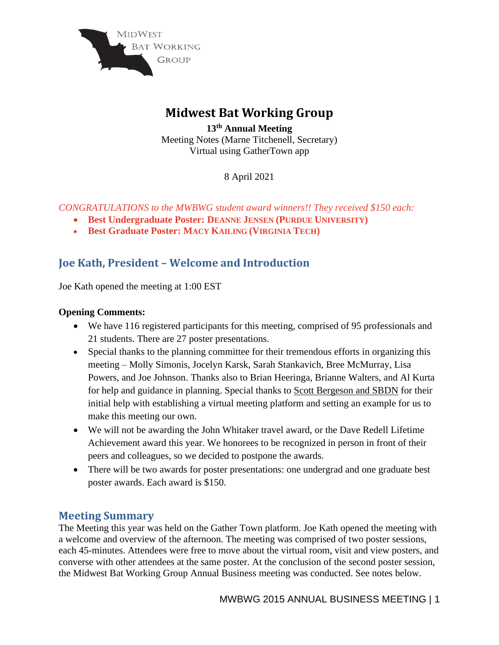

# **Midwest Bat Working Group**

**13th Annual Meeting**  Meeting Notes (Marne Titchenell, Secretary) Virtual using GatherTown app

8 April 2021

*CONGRATULATIONS to the MWBWG student award winners!! They received \$150 each:*

- **Best Undergraduate Poster: DEANNE JENSEN (PURDUE UNIVERSITY)**
- **Best Graduate Poster: MACY KAILING (VIRGINIA TECH)**

# **Joe Kath, President – Welcome and Introduction**

Joe Kath opened the meeting at 1:00 EST

## **Opening Comments:**

- We have 116 registered participants for this meeting, comprised of 95 professionals and 21 students. There are 27 poster presentations.
- Special thanks to the planning committee for their tremendous efforts in organizing this meeting – Molly Simonis, Jocelyn Karsk, Sarah Stankavich, Bree McMurray, Lisa Powers, and Joe Johnson. Thanks also to Brian Heeringa, Brianne Walters, and Al Kurta for help and guidance in planning. Special thanks to Scott Bergeson and SBDN for their initial help with establishing a virtual meeting platform and setting an example for us to make this meeting our own.
- We will not be awarding the John Whitaker travel award, or the Dave Redell Lifetime Achievement award this year. We honorees to be recognized in person in front of their peers and colleagues, so we decided to postpone the awards.
- There will be two awards for poster presentations: one undergrad and one graduate best poster awards. Each award is \$150.

# **Meeting Summary**

The Meeting this year was held on the Gather Town platform. Joe Kath opened the meeting with a welcome and overview of the afternoon. The meeting was comprised of two poster sessions, each 45-minutes. Attendees were free to move about the virtual room, visit and view posters, and converse with other attendees at the same poster. At the conclusion of the second poster session, the Midwest Bat Working Group Annual Business meeting was conducted. See notes below.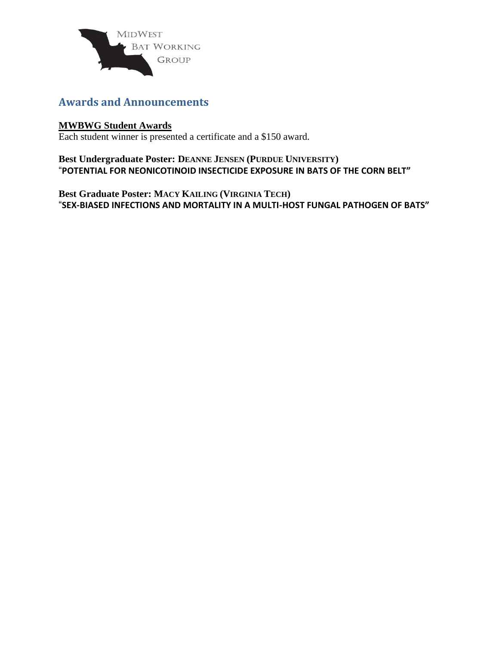

# **Awards and Announcements**

### **MWBWG Student Awards**

Each student winner is presented a certificate and a \$150 award.

**Best Undergraduate Poster: DEANNE JENSEN (PURDUE UNIVERSITY)** "**POTENTIAL FOR NEONICOTINOID INSECTICIDE EXPOSURE IN BATS OF THE CORN BELT"**

**Best Graduate Poster: MACY KAILING (VIRGINIA TECH)** "**SEX-BIASED INFECTIONS AND MORTALITY IN A MULTI-HOST FUNGAL PATHOGEN OF BATS"**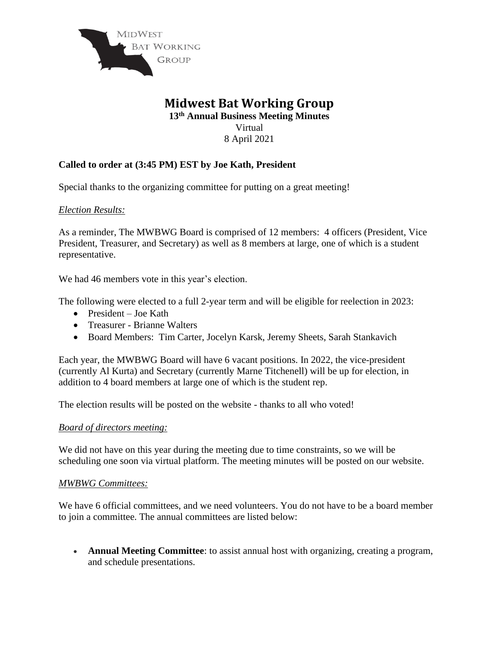

# **Midwest Bat Working Group**

**13 th Annual Business Meeting Minutes** Virtual

8 April 2021

# **Called to order at (3:45 PM) EST by Joe Kath, President**

Special thanks to the organizing committee for putting on a great meeting!

*Election Results:*

As a reminder, The MWBWG Board is comprised of 12 members: 4 officers (President, Vice President, Treasurer, and Secretary) as well as 8 members at large, one of which is a student representative.

We had 46 members vote in this year's election.

The following were elected to a full 2-year term and will be eligible for reelection in 2023:

- President Joe Kath
- Treasurer Brianne Walters
- Board Members: Tim Carter, Jocelyn Karsk, Jeremy Sheets, Sarah Stankavich

Each year, the MWBWG Board will have 6 vacant positions. In 2022, the vice-president (currently Al Kurta) and Secretary (currently Marne Titchenell) will be up for election, in addition to 4 board members at large one of which is the student rep.

The election results will be posted on the website - thanks to all who voted!

#### *Board of directors meeting:*

We did not have on this year during the meeting due to time constraints, so we will be scheduling one soon via virtual platform. The meeting minutes will be posted on our website.

#### *MWBWG Committees:*

We have 6 official committees, and we need volunteers. You do not have to be a board member to join a committee. The annual committees are listed below:

• **Annual Meeting Committee**: to assist annual host with organizing, creating a program, and schedule presentations.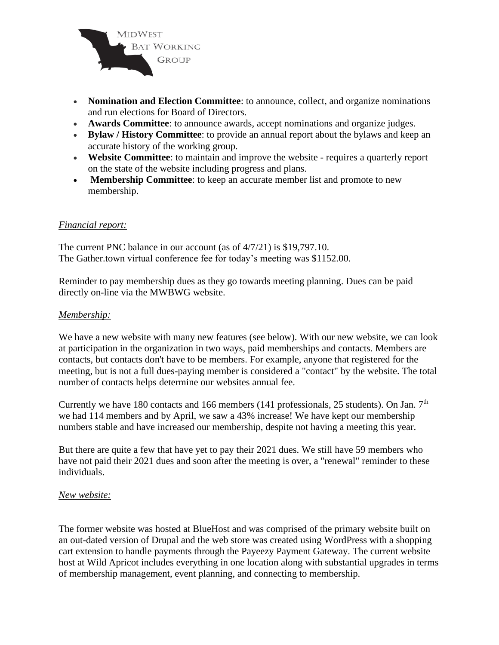

- **Nomination and Election Committee**: to announce, collect, and organize nominations and run elections for Board of Directors.
- **Awards Committee**: to announce awards, accept nominations and organize judges.
- **Bylaw / History Committee**: to provide an annual report about the bylaws and keep an accurate history of the working group.
- **Website Committee**: to maintain and improve the website requires a quarterly report on the state of the website including progress and plans.
- **Membership Committee**: to keep an accurate member list and promote to new membership.

#### *Financial report:*

The current PNC balance in our account (as of 4/7/21) is \$19,797.10. The Gather.town virtual conference fee for today's meeting was \$1152.00.

Reminder to pay membership dues as they go towards meeting planning. Dues can be paid directly on-line via the MWBWG website.

#### *Membership:*

We have a new website with many new features (see below). With our new website, we can look at participation in the organization in two ways, paid memberships and contacts. Members are contacts, but contacts don't have to be members. For example, anyone that registered for the meeting, but is not a full dues-paying member is considered a "contact" by the website. The total number of contacts helps determine our websites annual fee.

Currently we have 180 contacts and 166 members (141 professionals, 25 students). On Jan.  $7<sup>th</sup>$ we had 114 members and by April, we saw a 43% increase! We have kept our membership numbers stable and have increased our membership, despite not having a meeting this year.

But there are quite a few that have yet to pay their 2021 dues. We still have 59 members who have not paid their 2021 dues and soon after the meeting is over, a "renewal" reminder to these individuals.

#### *New website:*

The former website was hosted at BlueHost and was comprised of the primary website built on an out-dated version of Drupal and the web store was created using WordPress with a shopping cart extension to handle payments through the Payeezy Payment Gateway. The current website host at Wild Apricot includes everything in one location along with substantial upgrades in terms of membership management, event planning, and connecting to membership.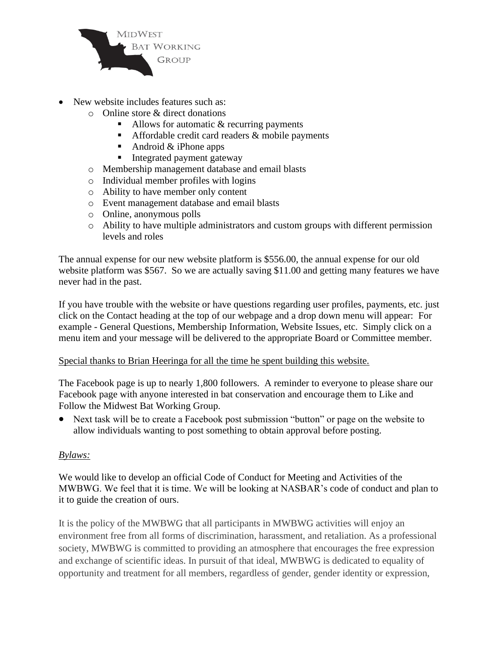

- New website includes features such as:
	- o Online store & direct donations
		- $\blacksquare$  Allows for automatic & recurring payments
		- **EXECUTE:** Affordable credit card readers  $\&$  mobile payments
		- Android  $&$  iPhone apps
		- Integrated payment gateway
	- o Membership management database and email blasts
	- o Individual member profiles with logins
	- o Ability to have member only content
	- o Event management database and email blasts
	- o Online, anonymous polls
	- o Ability to have multiple administrators and custom groups with different permission levels and roles

The annual expense for our new website platform is \$556.00, the annual expense for our old website platform was \$567. So we are actually saving \$11.00 and getting many features we have never had in the past.

If you have trouble with the website or have questions regarding user profiles, payments, etc. just click on the Contact heading at the top of our webpage and a drop down menu will appear: For example - General Questions, Membership Information, Website Issues, etc. Simply click on a menu item and your message will be delivered to the appropriate Board or Committee member.

#### Special thanks to Brian Heeringa for all the time he spent building this website.

The Facebook page is up to nearly 1,800 followers. A reminder to everyone to please share our Facebook page with anyone interested in bat conservation and encourage them to Like and Follow the Midwest Bat Working Group.

• Next task will be to create a Facebook post submission "button" or page on the website to allow individuals wanting to post something to obtain approval before posting.

#### *Bylaws:*

We would like to develop an official Code of Conduct for Meeting and Activities of the MWBWG. We feel that it is time. We will be looking at NASBAR's code of conduct and plan to it to guide the creation of ours.

It is the policy of the MWBWG that all participants in MWBWG activities will enjoy an environment free from all forms of discrimination, harassment, and retaliation. As a professional society, MWBWG is committed to providing an atmosphere that encourages the free expression and exchange of scientific ideas. In pursuit of that ideal, MWBWG is dedicated to equality of opportunity and treatment for all members, regardless of gender, gender identity or expression,